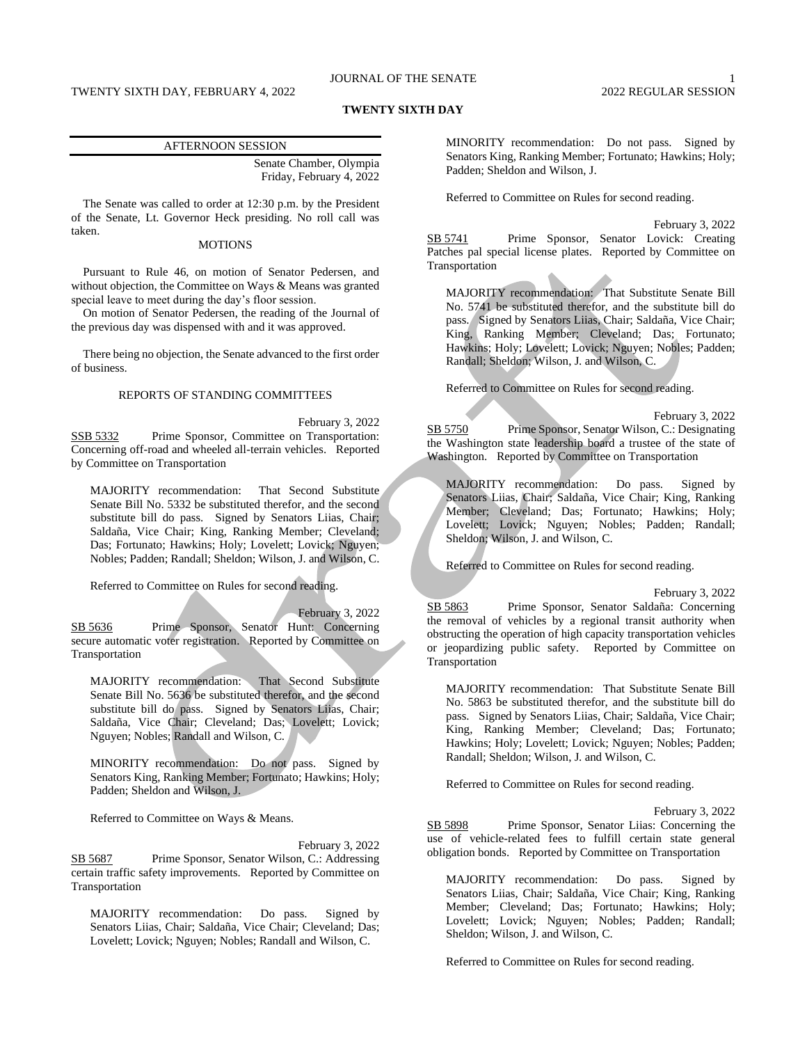# JOURNAL OF THE SENATE 1

#### **TWENTY SIXTH DAY**

#### AFTERNOON SESSION

Senate Chamber, Olympia Friday, February 4, 2022

The Senate was called to order at 12:30 p.m. by the President of the Senate, Lt. Governor Heck presiding. No roll call was taken.

## **MOTIONS**

Pursuant to Rule 46, on motion of Senator Pedersen, and without objection, the Committee on Ways & Means was granted special leave to meet during the day's floor session.

On motion of Senator Pedersen, the reading of the Journal of the previous day was dispensed with and it was approved.

There being no objection, the Senate advanced to the first order of business.

# REPORTS OF STANDING COMMITTEES

February 3, 2022 SSB 5332 Prime Sponsor, Committee on Transportation: Concerning off-road and wheeled all-terrain vehicles. Reported by Committee on Transportation

MAJORITY recommendation: That Second Substitute Senate Bill No. 5332 be substituted therefor, and the second substitute bill do pass. Signed by Senators Liias, Chair; Saldaña, Vice Chair; King, Ranking Member; Cleveland; Das; Fortunato; Hawkins; Holy; Lovelett; Lovick; Nguyen; Nobles; Padden; Randall; Sheldon; Wilson, J. and Wilson, C.

Referred to Committee on Rules for second reading.

February 3, 2022 SB 5636 Prime Sponsor, Senator Hunt: Concerning secure automatic voter registration. Reported by Committee on Transportation

MAJORITY recommendation: That Second Substitute Senate Bill No. 5636 be substituted therefor, and the second substitute bill do pass. Signed by Senators Liias, Chair; Saldaña, Vice Chair; Cleveland; Das; Lovelett; Lovick; Nguyen; Nobles; Randall and Wilson, C.

MINORITY recommendation: Do not pass. Signed by Senators King, Ranking Member; Fortunato; Hawkins; Holy; Padden; Sheldon and Wilson, J.

Referred to Committee on Ways & Means.

February 3, 2022 SB 5687 Prime Sponsor, Senator Wilson, C.: Addressing certain traffic safety improvements. Reported by Committee on Transportation

MAJORITY recommendation: Do pass. Signed by Senators Liias, Chair; Saldaña, Vice Chair; Cleveland; Das; Lovelett; Lovick; Nguyen; Nobles; Randall and Wilson, C.

MINORITY recommendation: Do not pass. Signed by Senators King, Ranking Member; Fortunato; Hawkins; Holy; Padden; Sheldon and Wilson, J.

Referred to Committee on Rules for second reading.

February 3, 2022 SB 5741 Prime Sponsor, Senator Lovick: Creating Patches pal special license plates. Reported by Committee on Transportation

MAJORITY recommendation: That Substitute Senate Bill No. 5741 be substituted therefor, and the substitute bill do pass. Signed by Senators Liias, Chair; Saldaña, Vice Chair; King, Ranking Member; Cleveland; Das; Fortunato; Hawkins; Holy; Lovelett; Lovick; Nguyen; Nobles; Padden; Randall; Sheldon; Wilson, J. and Wilson, C.

Referred to Committee on Rules for second reading.

February 3, 2022 SB 5750 Prime Sponsor, Senator Wilson, C.: Designating the Washington state leadership board a trustee of the state of Washington. Reported by Committee on Transportation

MAJORITY recommendation: Do pass. Signed by Senators Liias, Chair; Saldaña, Vice Chair; King, Ranking Member; Cleveland; Das; Fortunato; Hawkins; Holy; Lovelett; Lovick; Nguyen; Nobles; Padden; Randall; Sheldon; Wilson, J. and Wilson, C.

Referred to Committee on Rules for second reading.

February 3, 2022

SB 5863 Prime Sponsor, Senator Saldaña: Concerning the removal of vehicles by a regional transit authority when obstructing the operation of high capacity transportation vehicles or jeopardizing public safety. Reported by Committee on Transportation

MAJORITY recommendation: That Substitute Senate Bill No. 5863 be substituted therefor, and the substitute bill do pass. Signed by Senators Liias, Chair; Saldaña, Vice Chair; King, Ranking Member; Cleveland; Das; Fortunato; Hawkins; Holy; Lovelett; Lovick; Nguyen; Nobles; Padden; Randall; Sheldon; Wilson, J. and Wilson, C.

Referred to Committee on Rules for second reading.

February 3, 2022

SB 5898 Prime Sponsor, Senator Liias: Concerning the use of vehicle-related fees to fulfill certain state general obligation bonds. Reported by Committee on Transportation

MAJORITY recommendation: Do pass. Signed by Senators Liias, Chair; Saldaña, Vice Chair; King, Ranking Member; Cleveland; Das; Fortunato; Hawkins; Holy; Lovelett; Lovick; Nguyen; Nobles; Padden; Randall; Sheldon; Wilson, J. and Wilson, C.

Referred to Committee on Rules for second reading.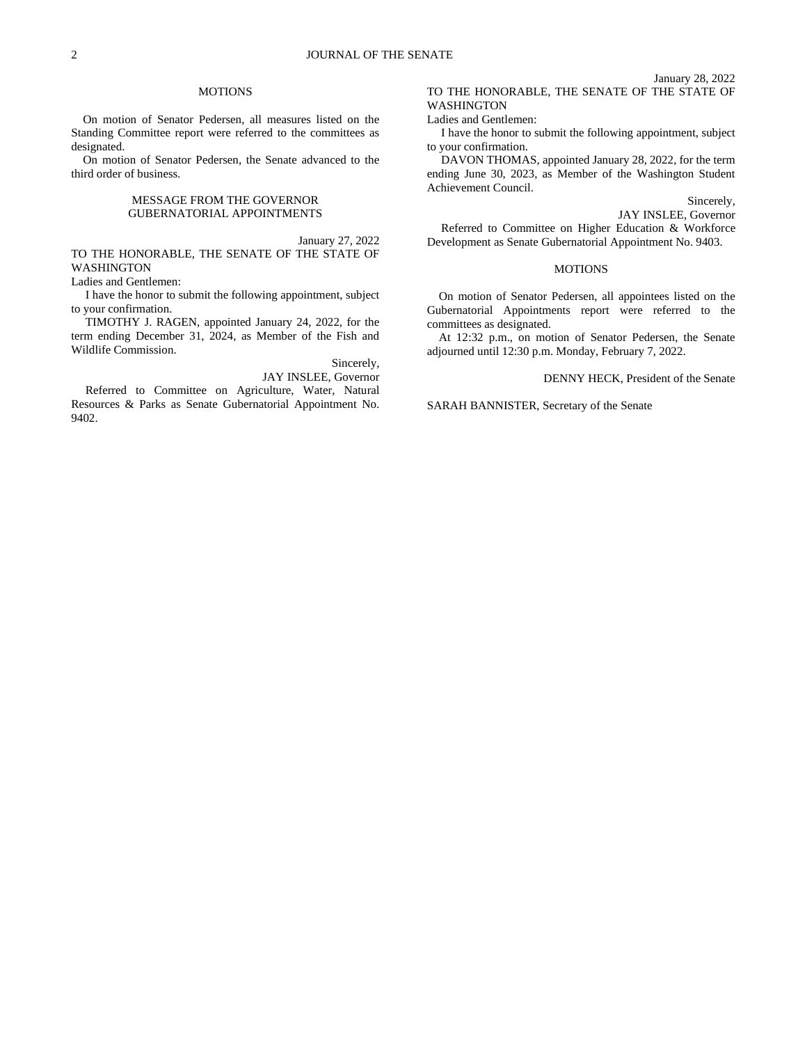### **MOTIONS**

On motion of Senator Pedersen, all measures listed on the Standing Committee report were referred to the committees as designated.

On motion of Senator Pedersen, the Senate advanced to the third order of business.

### MESSAGE FROM THE GOVERNOR GUBERNATORIAL APPOINTMENTS

January 27, 2022

TO THE HONORABLE, THE SENATE OF THE STATE OF WASHINGTON

Ladies and Gentlemen:

I have the honor to submit the following appointment, subject to your confirmation.

TIMOTHY J. RAGEN, appointed January 24, 2022, for the term ending December 31, 2024, as Member of the Fish and Wildlife Commission.

Sincerely,

JAY INSLEE, Governor

Referred to Committee on Agriculture, Water, Natural Resources & Parks as Senate Gubernatorial Appointment No. 9402.

January 28, 2022 TO THE HONORABLE, THE SENATE OF THE STATE OF WASHINGTON

#### Ladies and Gentlemen:

I have the honor to submit the following appointment, subject to your confirmation.

DAVON THOMAS, appointed January 28, 2022, for the term ending June 30, 2023, as Member of the Washington Student Achievement Council.

Sincerely,

JAY INSLEE, Governor

Referred to Committee on Higher Education & Workforce Development as Senate Gubernatorial Appointment No. 9403.

# MOTIONS

On motion of Senator Pedersen, all appointees listed on the Gubernatorial Appointments report were referred to the committees as designated.

At 12:32 p.m., on motion of Senator Pedersen, the Senate adjourned until 12:30 p.m. Monday, February 7, 2022.

DENNY HECK, President of the Senate

SARAH BANNISTER, Secretary of the Senate